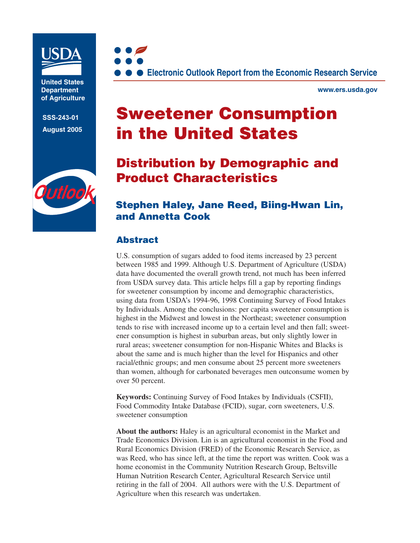

**United States Department of Agriculture**

**SSS-243-01 August 2005**





**www.ers.usda.gov**

# **Sweetener Consumption in the United States**

## **Distribution by Demographic and Product Characteristics**

### **Stephen Haley, Jane Reed, Biing-Hwan Lin, and Annetta Cook**

### **Abstract**

U.S. consumption of sugars added to food items increased by 23 percent between 1985 and 1999. Although U.S. Department of Agriculture (USDA) data have documented the overall growth trend, not much has been inferred from USDA survey data. This article helps fill a gap by reporting findings for sweetener consumption by income and demographic characteristics, using data from USDA's 1994-96, 1998 Continuing Survey of Food Intakes by Individuals. Among the conclusions: per capita sweetener consumption is highest in the Midwest and lowest in the Northeast; sweetener consumption tends to rise with increased income up to a certain level and then fall; sweetener consumption is highest in suburban areas, but only slightly lower in rural areas; sweetener consumption for non-Hispanic Whites and Blacks is about the same and is much higher than the level for Hispanics and other racial/ethnic groups; and men consume about 25 percent more sweeteners than women, although for carbonated beverages men outconsume women by over 50 percent.

**Keywords:** Continuing Survey of Food Intakes by Individuals (CSFII), Food Commodity Intake Database (FCID), sugar, corn sweeteners, U.S. sweetener consumption

**About the authors:** Haley is an agricultural economist in the Market and Trade Economics Division. Lin is an agricultural economist in the Food and Rural Economics Division (FRED) of the Economic Research Service, as was Reed, who has since left, at the time the report was written. Cook was a home economist in the Community Nutrition Research Group, Beltsville Human Nutrition Research Center, Agricultural Research Service until retiring in the fall of 2004. All authors were with the U.S. Department of Agriculture when this research was undertaken.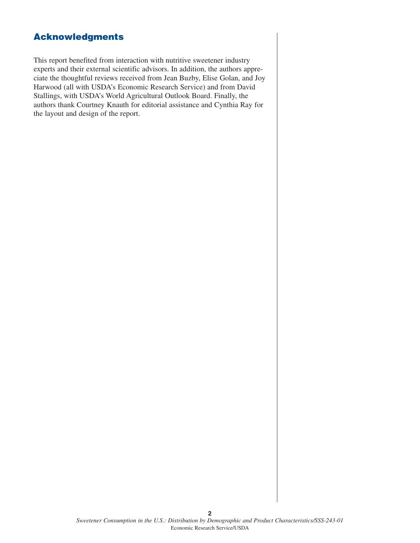### **Acknowledgments**

This report benefited from interaction with nutritive sweetener industry experts and their external scientific advisors. In addition, the authors appreciate the thoughtful reviews received from Jean Buzby, Elise Golan, and Joy Harwood (all with USDA's Economic Research Service) and from David Stallings, with USDA's World Agricultural Outlook Board. Finally, the authors thank Courtney Knauth for editorial assistance and Cynthia Ray for the layout and design of the report.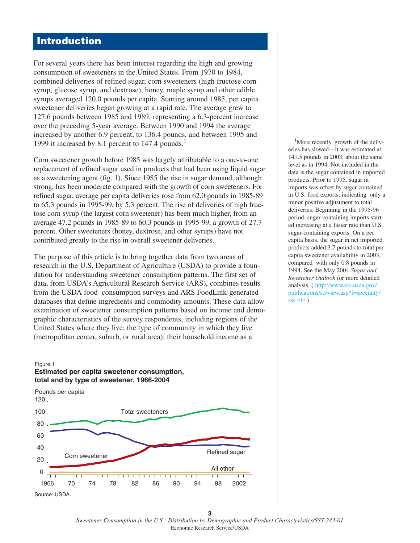### **Introduction**

For several years there has been interest regarding the high and growing consumption of sweeteners in the United States. From 1970 to 1984, combined deliveries of refined sugar, corn sweeteners (high fructose corn syrup, glucose syrup, and dextrose), honey, maple syrup and other edible syrups averaged 120.0 pounds per capita. Starting around 1985, per capita sweetener deliveries began growing at a rapid rate. The average grew to 127.6 pounds between 1985 and 1989, representing a 6.3-percent increase over the preceding 5-year average. Between 1990 and 1994 the average increased by another 6.9 percent, to 136.4 pounds, and between 1995 and 1999 it increased by 8.1 percent to 147.4 pounds.<sup>1</sup>

Corn sweetener growth before 1985 was largely attributable to a one-to-one replacement of refined sugar used in products that had been using liquid sugar as a sweetening agent (fig. 1). Since 1985 the rise in sugar demand, although strong, has been moderate compared with the growth of corn sweeteners. For refined sugar, average per capita deliveries rose from 62.0 pounds in 1985-89 to 65.3 pounds in 1995-99, by 5.3 percent. The rise of deliveries of high fructose corn syrup (the largest corn sweetener) has been much higher, from an average 47.2 pounds in 1985-89 to 60.3 pounds in 1995-99, a growth of 27.7 percent. Other sweeteners (honey, dextrose, and other syrups) have not contributed greatly to the rise in overall sweetener deliveries.

The purpose of this article is to bring together data from two areas of research in the U.S. Department of Agriculture (USDA) to provide a foundation for understanding sweetener consumption patterns. The first set of data, from USDA's Agricultural Research Service (ARS), combines results from the USDA food consumption surveys and ARS FoodLink-generated databases that define ingredients and commodity amounts. These data allow examination of sweetener consumption patterns based on income and demographic characteristics of the survey respondents, including regions of the United States where they live; the type of community in which they live (metropolitan center, suburb, or rural area); their household income as a

#### **Estimated per capita sweetener consumption, total and by type of sweetener, 1966-2004**  Figure 1



<sup>1</sup>More recently, growth of the deliveries has slowed—it was estimated at 141.5 pounds in 2003, about the same level as in 1994. Not included in the data is the sugar contained in imported products. Prior to 1995, sugar in imports was offset by sugar contained in U.S. food exports, indicating only a minor positive adjustment to total deliveries. Beginning in the 1995-96 period, sugar-containing imports started increasing at a faster rate than U.S. sugar-containing exports. On a per capita basis, the sugar in net imported products added 3.7 pounds to total per capita sweetener availability in 2003, compared with only 0.8 pounds in 1994. See the May 2004 *Sugar and Sweetener Outlook* for more detailed analysis. ( http://w[ww.ers.usda.gov/](http://www.ers.usda.gov/publications/so/view.asp?f=specialty/sss-bb/) publica[tions/so/view.asp?f=specialty/](http://www.ers.usda.gov/publications/so/view.asp?f=specialty/sss-bb/) [sss-bb/](http://www.ers.usda.gov/publications/so/view.asp?f=specialty/sss-bb/) )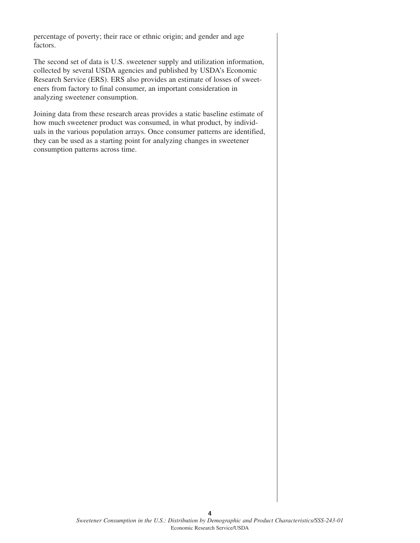percentage of poverty; their race or ethnic origin; and gender and age factors.

The second set of data is U.S. sweetener supply and utilization information, collected by several USDA agencies and published by USDA's Economic Research Service (ERS). ERS also provides an estimate of losses of sweeteners from factory to final consumer, an important consideration in analyzing sweetener consumption.

Joining data from these research areas provides a static baseline estimate of how much sweetener product was consumed, in what product, by individuals in the various population arrays. Once consumer patterns are identified, they can be used as a starting point for analyzing changes in sweetener consumption patterns across time.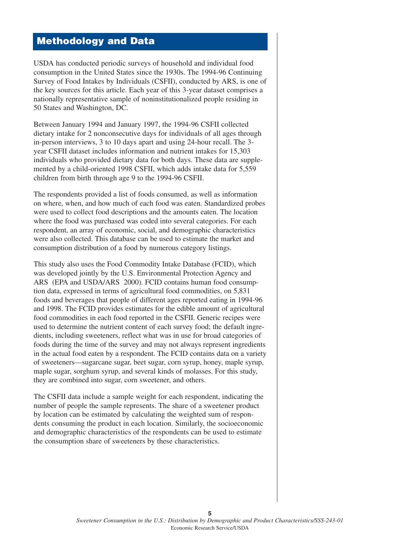### **Methodology and Data**

USDA has conducted periodic surveys of household and individual food consumption in the United States since the 1930s. The 1994-96 Continuing Survey of Food Intakes by Individuals (CSFII), conducted by ARS, is one of the key sources for this article. Each year of this 3-year dataset comprises a nationally representative sample of noninstitutionalized people residing in 50 States and Washington, DC.

Between January 1994 and January 1997, the 1994-96 CSFII collected dietary intake for 2 nonconsecutive days for individuals of all ages through in-person interviews, 3 to 10 days apart and using 24-hour recall. The 3 year CSFII dataset includes information and nutrient intakes for 15,303 individuals who provided dietary data for both days. These data are supplemented by a child-oriented 1998 CSFII, which adds intake data for 5,559 children from birth through age 9 to the 1994-96 CSFII.

The respondents provided a list of foods consumed, as well as information on where, when, and how much of each food was eaten. Standardized probes were used to collect food descriptions and the amounts eaten. The location where the food was purchased was coded into several categories. For each respondent, an array of economic, social, and demographic characteristics were also collected. This database can be used to estimate the market and consumption distribution of a food by numerous category listings.

This study also uses the Food Commodity Intake Database (FCID), which was developed jointly by the U.S. Environmental Protection Agency and ARS (EPA and USDA/ARS 2000). FCID contains human food consumption data, expressed in terms of agricultural food commodities, on 5,831 foods and beverages that people of different ages reported eating in 1994-96 and 1998. The FCID provides estimates for the edible amount of agricultural food commodities in each food reported in the CSFII. Generic recipes were used to determine the nutrient content of each survey food; the default ingredients, including sweeteners, reflect what was in use for broad categories of foods during the time of the survey and may not always represent ingredients in the actual food eaten by a respondent. The FCID contains data on a variety of sweeteners—sugarcane sugar, beet sugar, corn syrup, honey, maple syrup, maple sugar, sorghum syrup, and several kinds of molasses. For this study, they are combined into sugar, corn sweetener, and others.

The CSFII data include a sample weight for each respondent, indicating the number of people the sample represents. The share of a sweetener product by location can be estimated by calculating the weighted sum of respondents consuming the product in each location. Similarly, the socioeconomic and demographic characteristics of the respondents can be used to estimate the consumption share of sweeteners by these characteristics.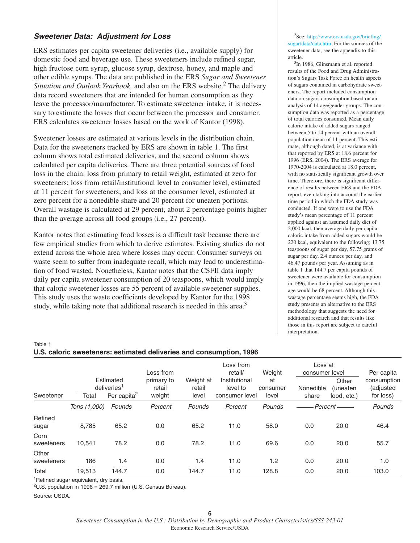#### **Sweetener Data: Adjustment for Loss**

ERS estimates per capita sweetener deliveries (i.e., available supply) for domestic food and beverage use. These sweeteners include refined sugar, high fructose corn syrup, glucose syrup, dextrose, honey, and maple and other edible syrups. The data are published in the ERS *Sugar and Sweetener Situation and Outlook Yearbook,* and also on the ERS website.<sup>2</sup> The delivery data record sweeteners that are intended for human consumption as they leave the processor/manufacturer. To estimate sweetener intake, it is necessary to estimate the losses that occur between the processor and consumer. ERS calculates sweetener losses based on the work of Kantor (1998).

Sweetener losses are estimated at various levels in the distribution chain. Data for the sweeteners tracked by ERS are shown in table 1. The first column shows total estimated deliveries, and the second column shows calculated per capita deliveries. There are three potential sources of food loss in the chain: loss from primary to retail weight, estimated at zero for sweeteners; loss from retail/institutional level to consumer level, estimated at 11 percent for sweeteners; and loss at the consumer level, estimated at zero percent for a nonedible share and 20 percent for uneaten portions. Overall wastage is calculated at 29 percent, about 2 percentage points higher than the average across all food groups (i.e., 27 percent).

Kantor notes that estimating food losses is a difficult task because there are few empirical studies from which to derive estimates. Existing studies do not extend across the whole area where losses may occur. Consumer surveys on waste seem to suffer from inadequate recall, which may lead to underestimation of food wasted. Nonetheless, Kantor notes that the CSFII data imply daily per capita sweetener consumption of 20 teaspoons, which would imply that caloric sweetener losses are 55 percent of available sweetener supplies. This study uses the waste coefficients developed by Kantor for the 1998 study, while taking note that additional research is needed in this area.<sup>3</sup>

2 See: http://www[.ers.usda.gov/briefing/](http://www.ers.usda.gov/briefing/sugar/data/data.htm) [sugar/data/data.htm.](http://www.ers.usda.gov/briefing/sugar/data/data.htm) For the sources of the sweetener data, see the appendix to this article.

<sup>3</sup>In 1986, Glinsmann et al. reported results of the Food and Drug Administration's Sugars Task Force on health aspects of sugars contained in carbohydrate sweeteners. The report included consumption data on sugars consumption based on an analysis of 14 age/gender groups. The consumption data was reported as a percentage of total calories consumed. Mean daily caloric intake of added sugars ranged between 5 to 14 percent with an overall population mean of 11 percent. This estimate, although dated, is at variance with that reported by ERS at 18.6 percent for 1996 (ERS, 2004). The ERS average for 1970-2004 is calculated at 18.0 percent, with no statistically significant growth over time. Therefore, there is significant difference of results between ERS and the FDA report, even taking into account the earlier time period in which the FDA study was conducted. If one were to use the FDA study's mean percentage of 11 percent applied against an assumed daily diet of 2,000 kcal, then average daily per capita caloric intake from added sugars would be 220 kcal, equivalent to the following; 13.75 teaspoons of sugar per day, 57.75 grams of sugar per day, 2.4 ounces per day, and 46.47 pounds per year. Assuming as in table 1 that 144.7 per capita pounds of sweetener were available for consumption in 1996, then the implied wastage percentage would be 68 percent. Although this wastage percentage seems high, the FDA study presents an alternative to the ERS methodology that suggests the need for additional research and that results like those in this report are subject to careful interpretation.

#### Table 1 **U.S. caloric sweeteners: estimated deliveries and consumption, 1996**

|                     |              |                                                                 | Loss from                      |                              | Loss from<br>retail/                        | Weight                  | Loss at<br>consumer level |                                          | Per capita                            |
|---------------------|--------------|-----------------------------------------------------------------|--------------------------------|------------------------------|---------------------------------------------|-------------------------|---------------------------|------------------------------------------|---------------------------------------|
| Sweetener           | Total        | Estimated<br>deliveries <sup>1</sup><br>Per capita <sup>2</sup> | primary to<br>retail<br>weight | Weight at<br>retail<br>level | Institutional<br>level to<br>consumer level | at<br>consumer<br>level | Nonedible<br>share        | Other<br><i>(uneaten)</i><br>food, etc.) | consumption<br>(adjusted<br>for loss) |
|                     | Tons (1,000) | Pounds                                                          | Percent                        | Pounds                       | Percent                                     | Pounds                  | Percent-                  |                                          | Pounds                                |
| Refined<br>sugar    | 8,785        | 65.2                                                            | 0.0                            | 65.2                         | 11.0                                        | 58.0                    | 0.0                       | 20.0                                     | 46.4                                  |
| Corn<br>sweeteners  | 10.541       | 78.2                                                            | 0.0                            | 78.2                         | 11.0                                        | 69.6                    | 0.0                       | 20.0                                     | 55.7                                  |
| Other<br>sweeteners | 186          | 1.4                                                             | 0.0                            | 1.4                          | 11.0                                        | 1.2                     | 0.0                       | 20.0                                     | 1.0                                   |
| Total               | 19,513       | 144.7                                                           | 0.0                            | 144.7                        | 11.0                                        | 128.8                   | 0.0                       | 20.0                                     | 103.0                                 |

<sup>1</sup>Refined sugar equivalent, dry basis.

<sup>2</sup>U.S. population in 1996 = 269.7 million (U.S. Census Bureau).

Source: USDA.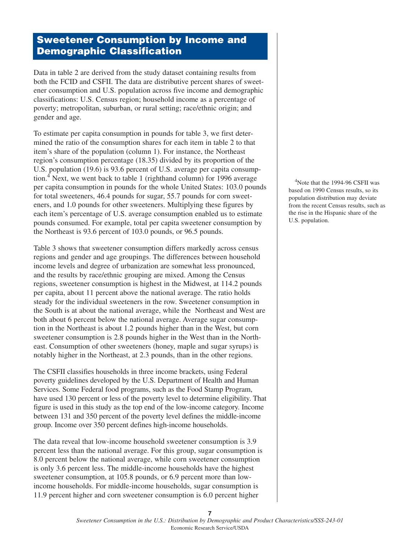### **Sweetener Consumption by Income and Demographic Classification**

Data in table 2 are derived from the study dataset containing results from both the FCID and CSFII. The data are distributive percent shares of sweetener consumption and U.S. population across five income and demographic classifications: U.S. Census region; household income as a percentage of poverty; metropolitan, suburban, or rural setting; race/ethnic origin; and gender and age.

To estimate per capita consumption in pounds for table 3, we first determined the ratio of the consumption shares for each item in table 2 to that item's share of the population (column 1). For instance, the Northeast region's consumption percentage (18.35) divided by its proportion of the U.S. population (19.6) is 93.6 percent of U.S. average per capita consumption.<sup>4</sup> Next, we went back to table 1 (righthand column) for 1996 average per capita consumption in pounds for the whole United States: 103.0 pounds for total sweeteners, 46.4 pounds for sugar, 55.7 pounds for corn sweeteners, and 1.0 pounds for other sweeteners. Multiplying these figures by each item's percentage of U.S. average consumption enabled us to estimate pounds consumed. For example, total per capita sweetener consumption by the Northeast is 93.6 percent of 103.0 pounds, or 96.5 pounds.

Table 3 shows that sweetener consumption differs markedly across census regions and gender and age groupings. The differences between household income levels and degree of urbanization are somewhat less pronounced, and the results by race/ethnic grouping are mixed. Among the Census regions, sweetener consumption is highest in the Midwest, at 114.2 pounds per capita, about 11 percent above the national average. The ratio holds steady for the individual sweeteners in the row. Sweetener consumption in the South is at about the national average, while the Northeast and West are both about 6 percent below the national average. Average sugar consumption in the Northeast is about 1.2 pounds higher than in the West, but corn sweetener consumption is 2.8 pounds higher in the West than in the Northeast. Consumption of other sweeteners (honey, maple and sugar syrups) is notably higher in the Northeast, at 2.3 pounds, than in the other regions.

The CSFII classifies households in three income brackets, using Federal poverty guidelines developed by the U.S. Department of Health and Human Services. Some Federal food programs, such as the Food Stamp Program, have used 130 percent or less of the poverty level to determine eligibility. That figure is used in this study as the top end of the low-income category. Income between 131 and 350 percent of the poverty level defines the middle-income group. Income over 350 percent defines high-income households.

The data reveal that low-income household sweetener consumption is 3.9 percent less than the national average. For this group, sugar consumption is 8.0 percent below the national average, while corn sweetener consumption is only 3.6 percent less. The middle-income households have the highest sweetener consumption, at 105.8 pounds, or 6.9 percent more than lowincome households. For middle-income households, sugar consumption is 11.9 percent higher and corn sweetener consumption is 6.0 percent higher

<sup>4</sup>Note that the 1994-96 CSFII was based on 1990 Census results, so its population distribution may deviate from the recent Census results, such as the rise in the Hispanic share of the U.S. population.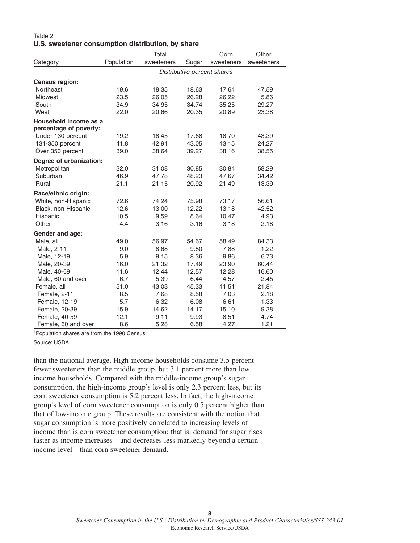#### Table 2 **U.S. sweetener consumption distribution, by share**

|                                                 |                         | Total      |                             | Corn       | Other      |
|-------------------------------------------------|-------------------------|------------|-----------------------------|------------|------------|
| Category                                        | Population <sup>1</sup> | sweeteners | Sugar                       | sweeteners | sweeteners |
|                                                 |                         |            | Distributive percent shares |            |            |
| Census region:                                  |                         |            |                             |            |            |
| Northeast                                       | 19.6                    | 18.35      | 18.63                       | 17.64      | 47.59      |
| <b>Midwest</b>                                  | 23.5                    | 26.05      | 26.28                       | 26.22      | 5.86       |
| South                                           | 34.9                    | 34.95      | 34.74                       | 35.25      | 29.27      |
| West                                            | 22.0                    | 20.66      | 20.35                       | 20.89      | 23.38      |
| Household income as a<br>percentage of poverty: |                         |            |                             |            |            |
| Under 130 percent                               | 19.2                    | 18.45      | 17.68                       | 18.70      | 43.39      |
| 131-350 percent                                 | 41.8                    | 42.91      | 43.05                       | 43.15      | 24.27      |
| Over 350 percent                                | 39.0                    | 38.64      | 39.27                       | 38.16      | 38.55      |
| Degree of urbanization:                         |                         |            |                             |            |            |
| Metropolitan                                    | 32.0                    | 31.08      | 30.85                       | 30.84      | 58.29      |
| Suburban                                        | 46.9                    | 47.78      | 48.23                       | 47.67      | 34.42      |
| Rural                                           | 21.1                    | 21.15      | 20.92                       | 21.49      | 13.39      |
| Race/ethnic origin:                             |                         |            |                             |            |            |
| White, non-Hispanic                             | 72.6                    | 74.24      | 75.98                       | 73.17      | 56.61      |
| Black, non-Hispanic                             | 12.6                    | 13.00      | 12.22                       | 13.18      | 42.52      |
| Hispanic                                        | 10.5                    | 9.59       | 8.64                        | 10.47      | 4.93       |
| Other                                           | 4.4                     | 3.16       | 3.16                        | 3.18       | 2.18       |
| Gender and age:                                 |                         |            |                             |            |            |
| Male, all                                       | 49.0                    | 56.97      | 54.67                       | 58.49      | 84.33      |
| Male, 2-11                                      | 9.0                     | 8.68       | 9.80                        | 7.88       | 1.22       |
| Male, 12-19                                     | 5.9                     | 9.15       | 8.36                        | 9.86       | 6.73       |
| Male, 20-39                                     | 16.0                    | 21.32      | 17.49                       | 23.90      | 60.44      |
| Male, 40-59                                     | 11.6                    | 12.44      | 12.57                       | 12.28      | 16.60      |
| Male, 60 and over                               | 6.7                     | 5.39       | 6.44                        | 4.57       | 2.45       |
| Female, all                                     | 51.0                    | 43.03      | 45.33                       | 41.51      | 21.84      |
| Female, 2-11                                    | 8.5                     | 7.68       | 8.58                        | 7.03       | 2.18       |
| Female, 12-19                                   | 5.7                     | 6.32       | 6.08                        | 6.61       | 1.33       |
| Female, 20-39                                   | 15.9                    | 14.62      | 14.17                       | 15.10      | 9.38       |
| Female, 40-59                                   | 12.1                    | 9.11       | 9.93                        | 8.51       | 4.74       |
| Female, 60 and over                             | 8.6                     | 5.28       | 6.58                        | 4.27       | 1.21       |

1Population shares are from the 1990 Census.

Source: USDA.

than the national average. High-income households consume 3.5 percent fewer sweeteners than the middle group, but 3.1 percent more than low income households. Compared with the middle-income group's sugar consumption, the high-income group's level is only 2.3 percent less, but its corn sweetener consumption is 5.2 percent less. In fact, the high-income group's level of corn sweetener consumption is only 0.5 percent higher than that of low-income group. These results are consistent with the notion that sugar consumption is more positively correlated to increasing levels of income than is corn sweetener consumption; that is, demand for sugar rises faster as income increases—and decreases less markedly beyond a certain income level—than corn sweetener demand.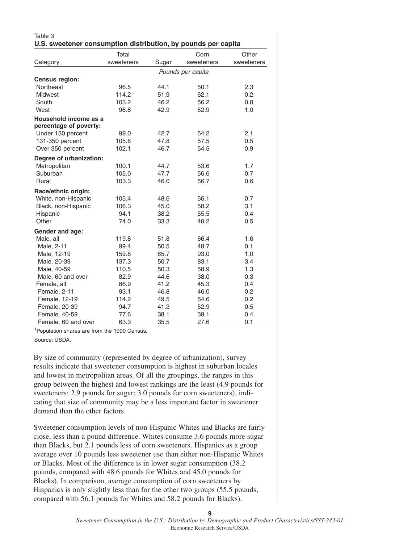| U.S. sweetener consumption distribution, by pounds per capita | Total          |              | Corn              | Other      |
|---------------------------------------------------------------|----------------|--------------|-------------------|------------|
| Category                                                      | sweeteners     | Sugar        | sweeteners        | sweeteners |
|                                                               |                |              |                   |            |
| Census region:                                                |                |              | Pounds per capita |            |
| Northeast                                                     | 96.5           | 44.1         | 50.1              | 2.3        |
| Midwest                                                       | 114.2          | 51.9         | 62.1              | 0.2        |
| South                                                         | 103.2          | 46.2         | 56.2              | 0.8        |
| West                                                          | 96.8           | 42.9         | 52.9              | 1.0        |
| Household income as a                                         |                |              |                   |            |
| percentage of poverty:                                        |                |              |                   |            |
| Under 130 percent                                             | 99.0           | 42.7         | 54.2              | 2.1        |
| 131-350 percent                                               | 105.8          | 47.8         | 57.5              | 0.5        |
| Over 350 percent                                              | 102.1          | 46.7         | 54.5              | 0.9        |
|                                                               |                |              |                   |            |
| Degree of urbanization:                                       |                | 44.7         | 53.6              | 1.7        |
| Metropolitan<br>Suburban                                      | 100.1<br>105.0 |              |                   | 0.7        |
| Rural                                                         | 103.3          | 47.7<br>46.0 | 56.6<br>56.7      | 0.6        |
|                                                               |                |              |                   |            |
| Race/ethnic origin:                                           |                |              |                   |            |
| White, non-Hispanic                                           | 105.4          | 48.6         | 56.1              | 0.7        |
| Black, non-Hispanic                                           | 106.3          | 45.0         | 58.2              | 3.1        |
| Hispanic                                                      | 94.1           | 38.2         | 55.5              | 0.4        |
| Other                                                         | 74.0           | 33.3         | 40.2              | 0.5        |
| Gender and age:                                               |                |              |                   |            |
| Male, all                                                     | 119.8          | 51.8         | 66.4              | 1.6        |
| Male, 2-11                                                    | 99.4           | 50.5         | 48.7              | 0.1        |
| Male, 12-19                                                   | 159.8          | 65.7         | 93.0              | 1.0        |
| Male, 20-39                                                   | 137.3          | 50.7         | 83.1              | 3.4        |
| Male, 40-59                                                   | 110.5          | 50.3         | 58.9              | 1.3        |
| Male, 60 and over                                             | 82.9           | 44.6         | 38.0              | 0.3        |
| Female, all                                                   | 86.9           | 41.2         | 45.3              | 0.4        |
| Female, 2-11                                                  | 93.1           | 46.8         | 46.0              | 0.2        |
| Female, 12-19                                                 | 114.2          | 49.5         | 64.6              | 0.2        |
| Female, 20-39                                                 | 94.7           | 41.3         | 52.9              | 0.5        |
| Female, 40-59                                                 | 77.6           | 38.1         | 39.1              | 0.4        |
| Female, 60 and over                                           | 63.3           | 35.5         | 27.6              | 0.1        |

1Population shares are from the 1990 Census.

Source: USDA.

By size of community (represented by degree of urbanization), survey results indicate that sweetener consumption is highest in suburban locales and lowest in metropolitan areas. Of all the groupings, the ranges in this group between the highest and lowest rankings are the least (4.9 pounds for sweeteners; 2.9 pounds for sugar; 3.0 pounds for corn sweeteners), indicating that size of community may be a less important factor in sweetener demand than the other factors.

Sweetener consumption levels of non-Hispanic Whites and Blacks are fairly close, less than a pound difference. Whites consume 3.6 pounds more sugar than Blacks, but 2.1 pounds less of corn sweeteners. Hispanics as a group average over 10 pounds less sweetener use than either non-Hispanic Whites or Blacks. Most of the difference is in lower sugar consumption (38.2 pounds, compared with 48.6 pounds for Whites and 45.0 pounds for Blacks). In comparison, average consumption of corn sweeteners by Hispanics is only slightly less than for the other two groups (55.5 pounds, compared with 56.1 pounds for Whites and 58.2 pounds for Blacks).

**9**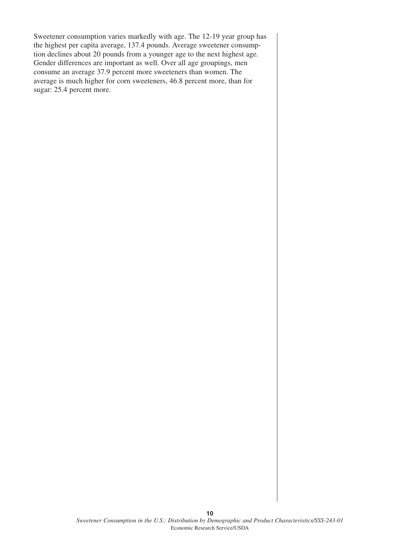Sweetener consumption varies markedly with age. The 12-19 year group has the highest per capita average, 137.4 pounds. Average sweetener consumption declines about 20 pounds from a younger age to the next highest age. Gender differences are important as well. Over all age groupings, men consume an average 37.9 percent more sweeteners than women. The average is much higher for corn sweeteners, 46.8 percent more, than for sugar: 25.4 percent more.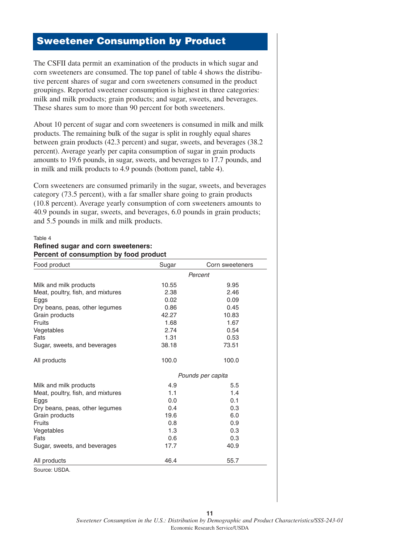### **Sweetener Consumption by Product**

The CSFII data permit an examination of the products in which sugar and corn sweeteners are consumed. The top panel of table 4 shows the distributive percent shares of sugar and corn sweeteners consumed in the product groupings. Reported sweetener consumption is highest in three categories: milk and milk products; grain products; and sugar, sweets, and beverages. These shares sum to more than 90 percent for both sweeteners.

About 10 percent of sugar and corn sweeteners is consumed in milk and milk products. The remaining bulk of the sugar is split in roughly equal shares between grain products (42.3 percent) and sugar, sweets, and beverages (38.2 percent). Average yearly per capita consumption of sugar in grain products amounts to 19.6 pounds, in sugar, sweets, and beverages to 17.7 pounds, and in milk and milk products to 4.9 pounds (bottom panel, table 4).

Corn sweeteners are consumed primarily in the sugar, sweets, and beverages category (73.5 percent), with a far smaller share going to grain products (10.8 percent). Average yearly consumption of corn sweeteners amounts to 40.9 pounds in sugar, sweets, and beverages, 6.0 pounds in grain products; and 5.5 pounds in milk and milk products.

#### Table 4 **Refined sugar and corn sweeteners: Percent of consumption by food product**

| Food product                      | Sugar | Corn sweeteners   |
|-----------------------------------|-------|-------------------|
|                                   |       | Percent           |
| Milk and milk products            | 10.55 | 9.95              |
| Meat, poultry, fish, and mixtures | 2.38  | 2.46              |
| Eggs                              | 0.02  | 0.09              |
| Dry beans, peas, other legumes    | 0.86  | 0.45              |
| Grain products                    | 42.27 | 10.83             |
| Fruits                            | 1.68  | 1.67              |
| Vegetables                        | 2.74  | 0.54              |
| Fats                              | 1.31  | 0.53              |
| Sugar, sweets, and beverages      | 38.18 | 73.51             |
| All products                      | 100.0 | 100.0             |
|                                   |       | Pounds per capita |
| Milk and milk products            | 4.9   | 5.5               |
| Meat, poultry, fish, and mixtures | 1.1   | 1.4               |
| Eggs                              | 0.0   | 0.1               |
| Dry beans, peas, other legumes    | 0.4   | 0.3               |
| Grain products                    | 19.6  | 6.0               |
| <b>Fruits</b>                     | 0.8   | 0.9               |
| Vegetables                        | 1.3   | 0.3               |
| Fats                              | 0.6   | 0.3               |
| Sugar, sweets, and beverages      | 17.7  | 40.9              |
| All products                      | 46.4  | 55.7              |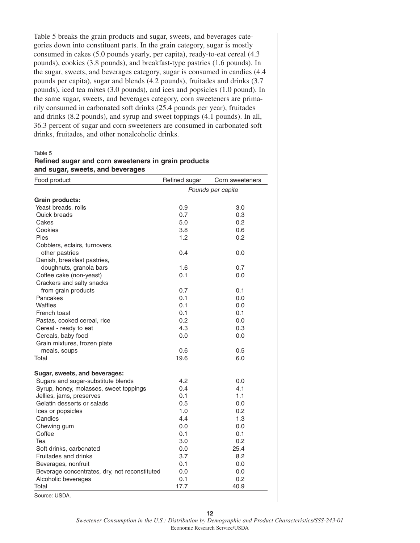Table 5 breaks the grain products and sugar, sweets, and beverages categories down into constituent parts. In the grain category, sugar is mostly consumed in cakes (5.0 pounds yearly, per capita), ready-to-eat cereal (4.3 pounds), cookies (3.8 pounds), and breakfast-type pastries (1.6 pounds). In the sugar, sweets, and beverages category, sugar is consumed in candies (4.4 pounds per capita), sugar and blends (4.2 pounds), fruitades and drinks (3.7 pounds), iced tea mixes (3.0 pounds), and ices and popsicles (1.0 pound). In the same sugar, sweets, and beverages category, corn sweeteners are primarily consumed in carbonated soft drinks (25.4 pounds per year), fruitades and drinks (8.2 pounds), and syrup and sweet toppings (4.1 pounds). In all, 36.3 percent of sugar and corn sweeteners are consumed in carbonated soft drinks, fruitades, and other nonalcoholic drinks.

Table 5

| Refined sugar and corn sweeteners in grain products |  |
|-----------------------------------------------------|--|
| and sugar, sweets, and beverages                    |  |

| Food product                                  | Refined sugar | Corn sweeteners   |
|-----------------------------------------------|---------------|-------------------|
|                                               |               | Pounds per capita |
| <b>Grain products:</b>                        |               |                   |
| Yeast breads, rolls                           | 0.9           | 3.0               |
| Quick breads                                  | 0.7           | 0.3               |
| Cakes                                         | 5.0           | 0.2               |
| Cookies                                       | 3.8           | 0.6               |
| Pies                                          | 1.2           | 0.2               |
| Cobblers, eclairs, turnovers,                 |               |                   |
| other pastries                                | 0.4           | 0.0               |
| Danish, breakfast pastries,                   |               |                   |
| doughnuts, granola bars                       | 1.6           | 0.7               |
| Coffee cake (non-yeast)                       | 0.1           | 0.0               |
| Crackers and salty snacks                     |               |                   |
| from grain products                           | 0.7           | 0.1               |
| Pancakes                                      | 0.1           | 0.0               |
| Waffles                                       | 0.1           | 0.0               |
| French toast                                  | 0.1           | 0.1               |
| Pastas, cooked cereal, rice                   | 0.2           | 0.0               |
| Cereal - ready to eat                         | 4.3           | 0.3               |
| Cereals, baby food                            | 0.0           | 0.0               |
| Grain mixtures, frozen plate                  |               |                   |
| meals, soups                                  | 0.6           | 0.5               |
| Total                                         | 19.6          | 6.0               |
|                                               |               |                   |
| Sugar, sweets, and beverages:                 |               |                   |
| Sugars and sugar-substitute blends            | 4.2           | 0.0               |
| Syrup, honey, molasses, sweet toppings        | 0.4           | 4.1               |
| Jellies, jams, preserves                      | 0.1           | 1.1               |
| Gelatin desserts or salads                    | 0.5           | 0.0               |
| Ices or popsicles                             | 1.0           | 0.2               |
| Candies                                       | 4.4           | 1.3               |
| Chewing gum                                   | 0.0           | 0.0               |
| Coffee                                        | 0.1           | 0.1               |
| Tea                                           | 3.0           | 0.2               |
| Soft drinks, carbonated                       | 0.0           | 25.4              |
| Fruitades and drinks                          | 3.7           | 8.2               |
| Beverages, nonfruit                           | 0.1           | 0.0               |
| Beverage concentrates, dry, not reconstituted | 0.0           | 0.0               |
| Alcoholic beverages                           | 0.1           | 0.2               |
| Total                                         | 17.7          | 40.9              |

Source: USDA.

**12**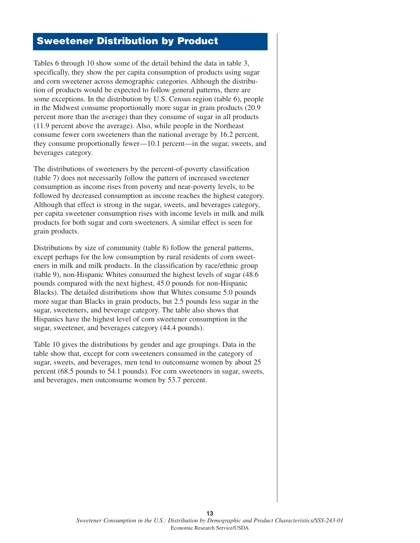### **Sweetener Distribution by Product**

Tables 6 through 10 show some of the detail behind the data in table 3, specifically, they show the per capita consumption of products using sugar and corn sweetener across demographic categories. Although the distribution of products would be expected to follow general patterns, there are some exceptions. In the distribution by U.S. Census region (table 6), people in the Midwest consume proportionally more sugar in grain products (20.9 percent more than the average) than they consume of sugar in all products (11.9 percent above the average). Also, while people in the Northeast consume fewer corn sweeteners than the national average by 16.2 percent, they consume proportionally fewer—10.1 percent—in the sugar, sweets, and beverages category.

The distributions of sweeteners by the percent-of-poverty classification (table 7) does not necessarily follow the pattern of increased sweetener consumption as income rises from poverty and near-poverty levels, to be followed by decreased consumption as income reaches the highest category. Although that effect is strong in the sugar, sweets, and beverages category, per capita sweetener consumption rises with income levels in milk and milk products for both sugar and corn sweeteners. A similar effect is seen for grain products.

Distributions by size of community (table 8) follow the general patterns, except perhaps for the low consumption by rural residents of corn sweeteners in milk and milk products. In the classification by race/ethnic group (table 9), non-Hispanic Whites consumed the highest levels of sugar (48.6 pounds compared with the next highest, 45.0 pounds for non-Hispanic Blacks). The detailed distributions show that Whites consume 5.0 pounds more sugar than Blacks in grain products, but 2.5 pounds less sugar in the sugar, sweeteners, and beverage category. The table also shows that Hispanics have the highest level of corn sweetener consumption in the sugar, sweetener, and beverages category (44.4 pounds).

Table 10 gives the distributions by gender and age groupings. Data in the table show that, except for corn sweeteners consumed in the category of sugar, sweets, and beverages, men tend to outconsume women by about 25 percent (68.5 pounds to 54.1 pounds). For corn sweeteners in sugar, sweets, and beverages, men outconsume women by 53.7 percent.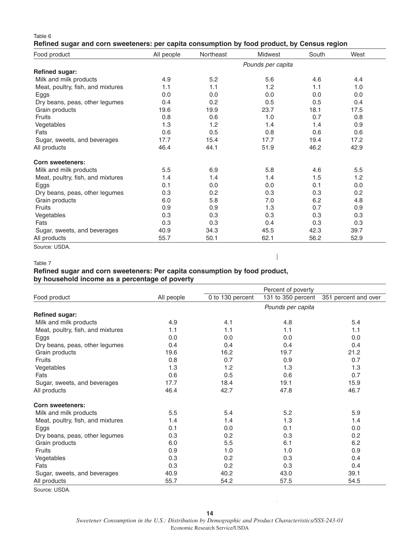#### Table 6

#### **Refined sugar and corn sweeteners: per capita consumption by food product, by Census region**

| Food product                      | All people | Northeast | Midwest           | South | West |
|-----------------------------------|------------|-----------|-------------------|-------|------|
|                                   |            |           | Pounds per capita |       |      |
| <b>Refined sugar:</b>             |            |           |                   |       |      |
| Milk and milk products            | 4.9        | 5.2       | 5.6               | 4.6   | 4.4  |
| Meat, poultry, fish, and mixtures | 1.1        | 1.1       | 1.2               | 1.1   | 1.0  |
| Eggs                              | 0.0        | 0.0       | 0.0               | 0.0   | 0.0  |
| Dry beans, peas, other legumes    | 0.4        | 0.2       | 0.5               | 0.5   | 0.4  |
| Grain products                    | 19.6       | 19.9      | 23.7              | 18.1  | 17.5 |
| <b>Fruits</b>                     | 0.8        | 0.6       | 1.0               | 0.7   | 0.8  |
| Vegetables                        | 1.3        | 1.2       | 1.4               | 1.4   | 0.9  |
| Fats                              | 0.6        | 0.5       | 0.8               | 0.6   | 0.6  |
| Sugar, sweets, and beverages      | 17.7       | 15.4      | 17.7              | 19.4  | 17.2 |
| All products                      | 46.4       | 44.1      | 51.9              | 46.2  | 42.9 |
| <b>Corn sweeteners:</b>           |            |           |                   |       |      |
| Milk and milk products            | 5.5        | 6.9       | 5.8               | 4.6   | 5.5  |
| Meat, poultry, fish, and mixtures | 1.4        | 1.4       | 1.4               | 1.5   | 1.2  |
| Eggs                              | 0.1        | 0.0       | 0.0               | 0.1   | 0.0  |
| Dry beans, peas, other legumes    | 0.3        | 0.2       | 0.3               | 0.3   | 0.2  |
| Grain products                    | 6.0        | 5.8       | 7.0               | 6.2   | 4.8  |
| Fruits                            | 0.9        | 0.9       | 1.3               | 0.7   | 0.9  |
| Vegetables                        | 0.3        | 0.3       | 0.3               | 0.3   | 0.3  |
| Fats                              | 0.3        | 0.3       | 0.4               | 0.3   | 0.3  |
| Sugar, sweets, and beverages      | 40.9       | 34.3      | 45.5              | 42.3  | 39.7 |
| All products                      | 55.7       | 50.1      | 62.1              | 56.2  | 52.9 |

Source: USDA.

 $\begin{array}{c} \hline \end{array}$ 

#### Table 7

#### **Refined sugar and corn sweeteners: Per capita consumption by food product, by household income as a percentage of poverty**

|                                   |            |                  | Percent of poverty |                      |
|-----------------------------------|------------|------------------|--------------------|----------------------|
| Food product                      | All people | 0 to 130 percent | 131 to 350 percent | 351 percent and over |
|                                   |            |                  | Pounds per capita  |                      |
| <b>Refined sugar:</b>             |            |                  |                    |                      |
| Milk and milk products            | 4.9        | 4.1              | 4.8                | 5.4                  |
| Meat, poultry, fish, and mixtures | 1.1        | 1.1              | 1.1                | 1.1                  |
| Eggs                              | 0.0        | 0.0              | 0.0                | 0.0                  |
| Dry beans, peas, other legumes    | 0.4        | 0.4              | 0.4                | 0.4                  |
| Grain products                    | 19.6       | 16.2             | 19.7               | 21.2                 |
| <b>Fruits</b>                     | 0.8        | 0.7              | 0.9                | 0.7                  |
| Vegetables                        | 1.3        | 1.2              | 1.3                | 1.3                  |
| Fats                              | 0.6        | 0.5              | 0.6                | 0.7                  |
| Sugar, sweets, and beverages      | 17.7       | 18.4             | 19.1               | 15.9                 |
| All products                      | 46.4       | 42.7             | 47.8               | 46.7                 |
| <b>Corn sweeteners:</b>           |            |                  |                    |                      |
| Milk and milk products            | 5.5        | 5.4              | 5.2                | 5.9                  |
| Meat, poultry, fish, and mixtures | 1.4        | 1.4              | 1.3                | 1.4                  |
| Eggs                              | 0.1        | 0.0              | 0.1                | 0.0                  |
| Dry beans, peas, other legumes    | 0.3        | 0.2              | 0.3                | 0.2                  |
| Grain products                    | 6.0        | 5.5              | 6.1                | 6.2                  |
| Fruits                            | 0.9        | 1.0              | 1.0                | 0.9                  |
| Vegetables                        | 0.3        | 0.2              | 0.3                | 0.4                  |
| Fats                              | 0.3        | 0.2              | 0.3                | 0.4                  |
| Sugar, sweets, and beverages      | 40.9       | 40.2             | 43.0               | 39.1                 |
| All products                      | 55.7       | 54.2             | 57.5               | 54.5                 |

Source: USDA.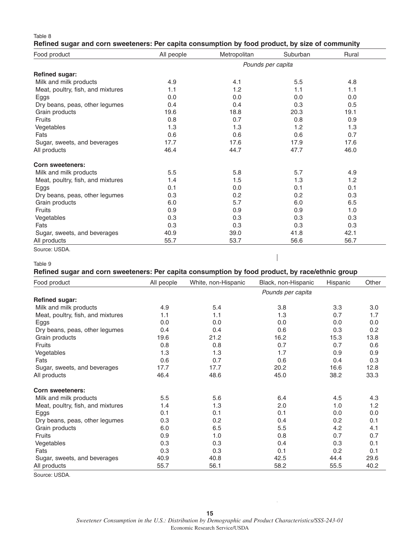#### Table 8 **Refined sugar and corn sweeteners: Per capita consumption by food product, by size of community**

| Food product                      | All people | Metropolitan | Suburban          | Rural |
|-----------------------------------|------------|--------------|-------------------|-------|
|                                   |            |              | Pounds per capita |       |
| <b>Refined sugar:</b>             |            |              |                   |       |
| Milk and milk products            | 4.9        | 4.1          | 5.5               | 4.8   |
| Meat, poultry, fish, and mixtures | 1.1        | 1.2          | 1.1               | 1.1   |
| Eggs                              | 0.0        | 0.0          | 0.0               | 0.0   |
| Dry beans, peas, other legumes    | 0.4        | 0.4          | 0.3               | 0.5   |
| Grain products                    | 19.6       | 18.8         | 20.3              | 19.1  |
| Fruits                            | 0.8        | 0.7          | 0.8               | 0.9   |
| Vegetables                        | 1.3        | 1.3          | 1.2               | 1.3   |
| Fats                              | 0.6        | 0.6          | 0.6               | 0.7   |
| Sugar, sweets, and beverages      | 17.7       | 17.6         | 17.9              | 17.6  |
| All products                      | 46.4       | 44.7         | 47.7              | 46.0  |
| <b>Corn sweeteners:</b>           |            |              |                   |       |
| Milk and milk products            | 5.5        | 5.8          | 5.7               | 4.9   |
| Meat, poultry, fish, and mixtures | 1.4        | 1.5          | 1.3               | 1.2   |
| Eggs                              | 0.1        | 0.0          | 0.1               | 0.1   |
| Dry beans, peas, other legumes    | 0.3        | 0.2          | 0.2               | 0.3   |
| Grain products                    | 6.0        | 5.7          | 6.0               | 6.5   |
| <b>Fruits</b>                     | 0.9        | 0.9          | 0.9               | 1.0   |
| Vegetables                        | 0.3        | 0.3          | 0.3               | 0.3   |
| Fats                              | 0.3        | 0.3          | 0.3               | 0.3   |
| Sugar, sweets, and beverages      | 40.9       | 39.0         | 41.8              | 42.1  |
| All products                      | 55.7       | 53.7         | 56.6              | 56.7  |

Source: USDA.

#### Table 9

**Refined sugar and corn sweeteners: Per capita consumption by food product, by race/ethnic group**

 $\begin{array}{c} \hline \end{array}$ 

| Food product                      | All people | White, non-Hispanic | Black, non-Hispanic | Hispanic | Other |
|-----------------------------------|------------|---------------------|---------------------|----------|-------|
|                                   |            |                     | Pounds per capita   |          |       |
| <b>Refined sugar:</b>             |            |                     |                     |          |       |
| Milk and milk products            | 4.9        | 5.4                 | 3.8                 | 3.3      | 3.0   |
| Meat, poultry, fish, and mixtures | 1.1        | 1.1                 | 1.3                 | 0.7      | 1.7   |
| Eggs                              | 0.0        | 0.0                 | 0.0                 | 0.0      | 0.0   |
| Dry beans, peas, other legumes    | 0.4        | 0.4                 | 0.6                 | 0.3      | 0.2   |
| Grain products                    | 19.6       | 21.2                | 16.2                | 15.3     | 13.8  |
| Fruits                            | 0.8        | 0.8                 | 0.7                 | 0.7      | 0.6   |
| Vegetables                        | 1.3        | 1.3                 | 1.7                 | 0.9      | 0.9   |
| Fats                              | 0.6        | 0.7                 | 0.6                 | 0.4      | 0.3   |
| Sugar, sweets, and beverages      | 17.7       | 17.7                | 20.2                | 16.6     | 12.8  |
| All products                      | 46.4       | 48.6                | 45.0                | 38.2     | 33.3  |
| <b>Corn sweeteners:</b>           |            |                     |                     |          |       |
| Milk and milk products            | 5.5        | 5.6                 | 6.4                 | 4.5      | 4.3   |
| Meat, poultry, fish, and mixtures | 1.4        | 1.3                 | 2.0                 | 1.0      | 1.2   |
| Eggs                              | 0.1        | 0.1                 | 0.1                 | 0.0      | 0.0   |
| Dry beans, peas, other legumes    | 0.3        | 0.2                 | 0.4                 | 0.2      | 0.1   |
| Grain products                    | 6.0        | 6.5                 | 5.5                 | 4.2      | 4.1   |
| Fruits                            | 0.9        | 1.0                 | 0.8                 | 0.7      | 0.7   |
| Vegetables                        | 0.3        | 0.3                 | 0.4                 | 0.3      | 0.1   |
| Fats                              | 0.3        | 0.3                 | 0.1                 | 0.2      | 0.1   |
| Sugar, sweets, and beverages      | 40.9       | 40.8                | 42.5                | 44.4     | 29.6  |
| All products                      | 55.7       | 56.1                | 58.2                | 55.5     | 40.2  |

Source: USDA.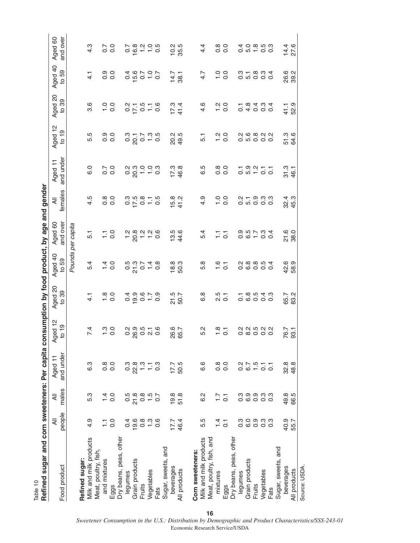| י המבוד המבוד המבוד המבוד המבוד המבוד המבוד המבוד המבוד המבוד המבוד המבוד המבוד המבוד המבוד המבוד המבוד המבוד ה |                                                               |                          |                      |                        |                                     |                                     | bursunnburbu by Tobur Sydney and |                        |                                     |                     |                  |                                        |                     |
|-----------------------------------------------------------------------------------------------------------------|---------------------------------------------------------------|--------------------------|----------------------|------------------------|-------------------------------------|-------------------------------------|----------------------------------|------------------------|-------------------------------------|---------------------|------------------|----------------------------------------|---------------------|
| Food product                                                                                                    | people<br>₹                                                   | males<br>₹               | and under<br>Aged 11 | Aged 12<br>$t0$ 19     | Aged 20<br>to 39                    | Aged 40<br>to 59                    | and over<br>Aged 60              | females<br>₹           | and under<br>Aged 11                | Aged 12<br>to 19    | Aged 20<br>to 39 | Aged 40<br>to 59                       | Aged 60<br>and over |
|                                                                                                                 |                                                               |                          |                      |                        |                                     |                                     | Pounds per capita                |                        |                                     |                     |                  |                                        |                     |
| Refined sugar:                                                                                                  |                                                               |                          |                      |                        |                                     |                                     |                                  |                        |                                     |                     |                  |                                        |                     |
| Milk and milk products<br>Meat, poultry, fish,                                                                  | 4.9                                                           | 5.3                      | 6.3                  | 7.4                    | $\frac{1}{4}$                       | 5.4                                 | 5.1                              | 4.5                    | 0.0                                 | 5.5                 | 3.6              | $\frac{1}{4}$                          | 4.3                 |
| and mixtures                                                                                                    | Ξ                                                             | $\frac{4}{1}$            | $0.\overline{8}$     | $\frac{0.0}{0.0}$      |                                     |                                     |                                  |                        |                                     | 0.0<br>0.0          |                  |                                        |                     |
| Eggs                                                                                                            | 0.0                                                           | 0.0                      | 0.0                  |                        | $\frac{80}{10}$                     | $\frac{1}{4}$ O                     | $\frac{1}{10}$ 0                 | 0.000                  | 5.0<br>0.0                          |                     | $\frac{0}{10}$   | 0.0<br>0.0                             | $\frac{7}{0}$       |
| Dry beans, peas, other                                                                                          |                                                               |                          |                      |                        |                                     |                                     |                                  |                        |                                     |                     |                  |                                        |                     |
| legumes                                                                                                         | 0.4                                                           | $0.\overline{8}$<br>21.8 | $0.\overline{3}$     |                        |                                     |                                     | 7000000000                       |                        |                                     |                     |                  |                                        |                     |
| Grain products                                                                                                  | 19.6                                                          |                          | $22.8$<br>1.3        | $0.99976$<br>$0.90909$ | 0 0 0 0 0<br>0 0 0 0 0<br>0 0 0 0 0 | $0.70 + 0.0$                        |                                  | 0.70870                | a m 0 0 m<br>0 0 - - 0<br>0 0 - - 0 |                     | 0.75070          | 0 10 10 10<br>0 10 10 10<br>0 10 10 10 |                     |
| <b>Fruits</b>                                                                                                   | $0.\overline{8}$                                              | $0.50$<br>$0.70$         |                      |                        |                                     |                                     |                                  |                        |                                     |                     |                  |                                        |                     |
| Vegetables                                                                                                      | $\frac{0.6}{0.6}$                                             |                          | $\frac{1}{1}$ 3      |                        |                                     |                                     |                                  |                        |                                     |                     |                  |                                        |                     |
| Fats                                                                                                            |                                                               |                          |                      |                        |                                     |                                     |                                  |                        |                                     |                     |                  |                                        |                     |
| Sugar, sweets, and                                                                                              |                                                               |                          |                      |                        |                                     |                                     |                                  |                        |                                     |                     |                  |                                        |                     |
| beverages                                                                                                       | $17.7$<br>46.4                                                | $19.8$<br>51.8           | $17.7$<br>50.5       | 26.6<br>65.7           | 21.5<br>50.7                        | $18.8$<br>50.3                      | $13.6$<br>$44.6$                 | $15.8$<br>41.2         | $17.3$<br>46.8                      | 20.5<br>49.5        | $17.3$<br>41.4   | $14.7$<br>38.1                         | $10.2$<br>35.5      |
| All products                                                                                                    |                                                               |                          |                      |                        |                                     |                                     |                                  |                        |                                     |                     |                  |                                        |                     |
|                                                                                                                 |                                                               |                          |                      |                        |                                     |                                     |                                  |                        |                                     |                     |                  |                                        |                     |
| Corn sweeteners:                                                                                                |                                                               |                          |                      |                        |                                     |                                     |                                  |                        |                                     |                     |                  |                                        |                     |
| Milk and milk products                                                                                          | 5.5                                                           | 6.2                      | 6.6                  | 5.2                    | 6.8                                 | 5.8                                 | 5.4                              | 4.9                    | 6.5                                 | 5.1                 | $4.\overline{6}$ | 4.7                                    | 4.4                 |
| Meat, poultry, fish, and                                                                                        |                                                               |                          |                      |                        |                                     |                                     |                                  |                        |                                     |                     |                  |                                        |                     |
| mixtures                                                                                                        | $1\overline{4}$                                               | $\overline{1.7}$         | $0.\overline{8}$     | $\frac{8}{10}$         | $2.5$<br>$0.7$                      | $\frac{6}{10}$                      | $\frac{1}{2}$                    | $\frac{0}{1}$          | $0.\overline{8}$                    | $\frac{20}{10}$     | $\frac{2}{10}$   | $\frac{0}{1}$                          | 0.0                 |
| Eggs                                                                                                            | $\overline{C}$                                                | $\overline{C}$           | $\overline{0}$ .     |                        |                                     |                                     |                                  | $\overline{O}$ .       | $\overline{0}$ .                    |                     |                  | $\overline{O}$ .                       |                     |
| Dry beans, peas, other                                                                                          |                                                               |                          |                      |                        |                                     |                                     |                                  |                        |                                     |                     |                  |                                        |                     |
| legumes                                                                                                         | $0.\overline{3}$                                              | $0.\overline{3}$         |                      |                        |                                     |                                     |                                  |                        |                                     |                     |                  |                                        |                     |
| Grain products                                                                                                  |                                                               |                          |                      |                        |                                     |                                     |                                  |                        |                                     |                     |                  |                                        |                     |
| Fruits                                                                                                          |                                                               |                          |                      |                        |                                     |                                     |                                  |                        |                                     |                     |                  |                                        |                     |
| Vegetables                                                                                                      | $\begin{array}{c} 0 & 0 & 0 & 0 \\ 0 & 0 & 0 & 0 \end{array}$ | o o o o<br>G o o o       | 0.7577               | a a n a a<br>0 0 0 0 0 | 0<br>00000<br>00000                 | 0 0 0 0 0<br>0 0 0 0 0<br>0 0 0 0 0 | 0<br>0<br>0 0 1 0 0<br>0 0 1 0 0 | 2 - 9 3 3<br>2 5 9 9 9 | $-0.0977$                           | a co co<br>Co co co | 04000<br>- 0404  | 0 10 0 0 0<br>0 10 0 0 0               | $0.0 - 0.0$         |
| Fats                                                                                                            |                                                               |                          |                      |                        |                                     |                                     |                                  |                        |                                     |                     |                  |                                        |                     |
| Sugar, sweets, and                                                                                              |                                                               |                          |                      |                        |                                     |                                     |                                  |                        |                                     |                     |                  |                                        |                     |
| beverages                                                                                                       | 40.9                                                          | 49.8                     | 32.8                 | 76.7                   | 65.7<br>83.2                        | 42.9<br>58.9                        | $\frac{0}{21}$<br>38.0           | 32. 3<br>45.<br>45.    | 31.3                                | 51.6<br>64.6        | 41.1             | 0<br>0<br>39<br>3                      | $14.4$<br>27.6      |
| All products                                                                                                    | 55.7                                                          | 66.5                     | 48.8                 | 93.1                   |                                     |                                     |                                  |                        | 46.1                                |                     | 52.9             |                                        |                     |
| Source: USDA.                                                                                                   |                                                               |                          |                      |                        |                                     |                                     |                                  |                        |                                     |                     |                  |                                        |                     |

Table 10<br>Refined sugar and corn sweeteners: Per capita consumption by food product, by age and gender **Refined sugar and corn sweeteners: Per capita consumption by food product, by age and gender**

**16** *Sweetener Consumption in the U.S.: Distribution by Demographic and Product Characteristics/SSS-243-01* Economic Research Service/USDA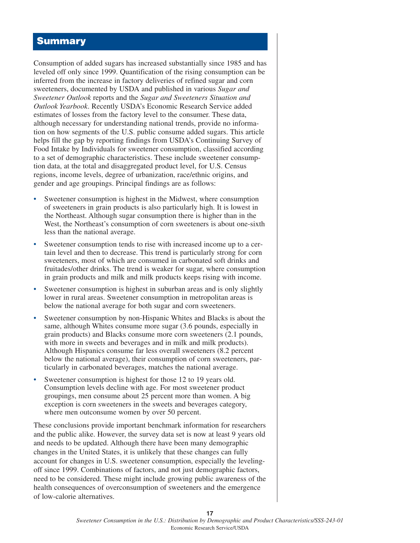### **Summary**

Consumption of added sugars has increased substantially since 1985 and has leveled off only since 1999. Quantification of the rising consumption can be inferred from the increase in factory deliveries of refined sugar and corn sweeteners, documented by USDA and published in various *Sugar and Sweetener Outlook* reports and the *Sugar and Sweeteners Situation and Outlook Yearbook*. Recently USDA's Economic Research Service added estimates of losses from the factory level to the consumer. These data, although necessary for understanding national trends, provide no information on how segments of the U.S. public consume added sugars. This article helps fill the gap by reporting findings from USDA's Continuing Survey of Food Intake by Individuals for sweetener consumption, classified according to a set of demographic characteristics. These include sweetener consumption data, at the total and disaggregated product level, for U.S. Census regions, income levels, degree of urbanization, race/ethnic origins, and gender and age groupings. Principal findings are as follows:

- Sweetener consumption is highest in the Midwest, where consumption of sweeteners in grain products is also particularly high. It is lowest in the Northeast. Although sugar consumption there is higher than in the West, the Northeast's consumption of corn sweeteners is about one-sixth less than the national average.
- Sweetener consumption tends to rise with increased income up to a certain level and then to decrease. This trend is particularly strong for corn sweeteners, most of which are consumed in carbonated soft drinks and fruitades/other drinks. The trend is weaker for sugar, where consumption in grain products and milk and milk products keeps rising with income.
- Sweetener consumption is highest in suburban areas and is only slightly lower in rural areas. Sweetener consumption in metropolitan areas is below the national average for both sugar and corn sweeteners.
- Sweetener consumption by non-Hispanic Whites and Blacks is about the same, although Whites consume more sugar (3.6 pounds, especially in grain products) and Blacks consume more corn sweeteners (2.1 pounds, with more in sweets and beverages and in milk and milk products). Although Hispanics consume far less overall sweeteners (8.2 percent below the national average), their consumption of corn sweeteners, particularly in carbonated beverages, matches the national average.
- Sweetener consumption is highest for those 12 to 19 years old. Consumption levels decline with age. For most sweetener product groupings, men consume about 25 percent more than women. A big exception is corn sweeteners in the sweets and beverages category, where men outconsume women by over 50 percent.

These conclusions provide important benchmark information for researchers and the public alike. However, the survey data set is now at least 9 years old and needs to be updated. Although there have been many demographic changes in the United States, it is unlikely that these changes can fully account for changes in U.S. sweetener consumption, especially the levelingoff since 1999. Combinations of factors, and not just demographic factors, need to be considered. These might include growing public awareness of the health consequences of overconsumption of sweeteners and the emergence of low-calorie alternatives.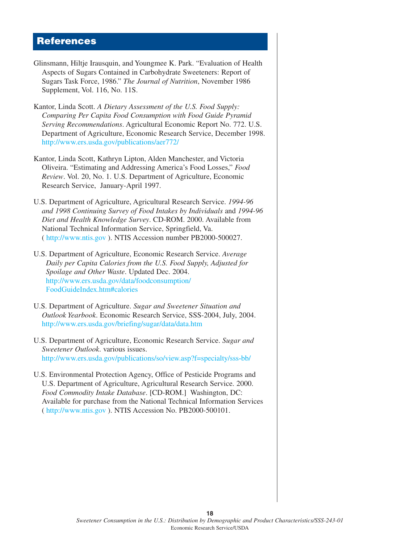### **References**

- Glinsmann, Hiltje Irausquin, and Youngmee K. Park. "Evaluation of Health Aspects of Sugars Contained in Carbohydrate Sweeteners: Report of Sugars Task Force, 1986." *The Journal of Nutrition*, November 1986 Supplement, Vol. 116, No. 11S.
- Kantor, Linda Scott. *A Dietary Assessment of the U.S. Food Supply: Comparing Per Capita Food Consumption with Food Guide Pyramid Serving Recommendations*. Agricultural Economic Report No. 772. U.S. Department of Agriculture, Economic Research Service, December 1998. <http://www.ers.usda.gov/publications/aer772/>
- Kantor, Linda Scott, Kathryn Lipton, Alden Manchester, and Victoria Oliveira. "Estimating and Addressing America's Food Losses," *Food Review*. Vol. 20, No. 1. U.S. Department of Agriculture, Economic Research Service, January-April 1997.
- U.S. Department of Agriculture, Agricultural Research Service. *1994-96 and 1998 Continuing Survey of Food Intakes by Individuals* and *1994-96 Diet and Health Knowledge Survey*. CD-ROM. 2000. Available from National Technical Information Service, Springfield, Va. ( [http://www.ntis.go](http://www.ntis.gov)v ). NTIS Accession number PB2000-500027.
- U.S. Department of Agriculture, Economic Research Service. *Average Daily per Capita Calories from the U.S. Food Supply, Adjusted for Spoilage and Other Waste*. Updated Dec. 2004. [http://www.ers.usda.gov/data/foodconsumption/](http://www.ers.usda.gov/data/foodconsumption/FoodGuideIndex.htm#calories) [FoodGuideIndex.h](http://www.ers.usda.gov/data/foodconsumption/FoodGuideIndex.htm#calories)tm#calories
- U.S. Department of Agriculture. *Sugar and Sweetener Situation and Outlook Yearbook*. Economic Research Service, SSS-2004, July, 2004. <http://www.ers.usda.gov/briefing/sugar/data/data.htm>
- U.S. Department of Agriculture, Economic Research Service. *Sugar and Sweetener Outlook*. various issues. [http://www.ers.usda.gov/publications/so/view.asp?f=specialty/sss](http://www.ers.usda.gov/publications/so/view.asp?f=specialty/sss-bb/)-bb/
- U.S. Environmental Protection Agency, Office of Pesticide Programs and U.S. Department of Agriculture, Agricultural Research Service. 2000. *Food Commodity Intake Database*. [CD-ROM.] Washington, DC: Available for purchase from the National Technical Information Services ( [http://www.ntis.go](http://www.ntis.gov)v ). NTIS Accession No. PB2000-500101.